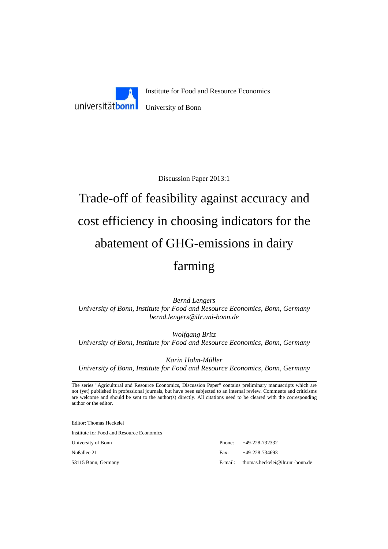

Discussion Paper 2013:1

# Trade-off of feasibility against accuracy and cost efficiency in choosing indicators for the abatement of GHG-emissions in dairy farming

*Bernd Lengers University of Bonn, Institute for Food and Resource Economics, Bonn, Germany bernd.lengers@ilr.uni-bonn.de* 

*Wolfgang Britz University of Bonn, Institute for Food and Resource Economics, Bonn, Germany* 

*Karin Holm-Müller University of Bonn, Institute for Food and Resource Economics, Bonn, Germany* 

The series "Agricultural and Resource Economics, Discussion Paper" contains preliminary manuscripts which are not (yet) published in professional journals, but have been subjected to an internal review. Comments and criticisms are welcome and should be sent to the author(s) directly. All citations need to be cleared with the corresponding author or the editor.

Editor: Thomas Heckelei

Institute for Food and Resource Economics

University of Bonn Phone: +49-228-732332 Nußallee 21 Fax: +49-228-734693 53115 Bonn, Germany E-mail: thomas.heckelei@ilr.uni-bonn.de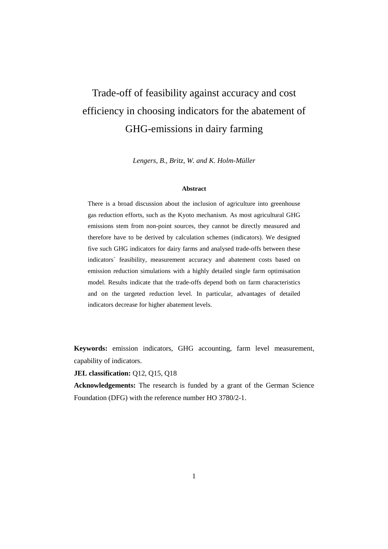# Trade-off of feasibility against accuracy and cost efficiency in choosing indicators for the abatement of GHG-emissions in dairy farming

*Lengers, B., Britz, W. and K. Holm-Müller* 

#### **Abstract**

There is a broad discussion about the inclusion of agriculture into greenhouse gas reduction efforts, such as the Kyoto mechanism. As most agricultural GHG emissions stem from non-point sources, they cannot be directly measured and therefore have to be derived by calculation schemes (indicators). We designed five such GHG indicators for dairy farms and analysed trade-offs between these indicators´ feasibility, measurement accuracy and abatement costs based on emission reduction simulations with a highly detailed single farm optimisation model. Results indicate that the trade-offs depend both on farm characteristics and on the targeted reduction level. In particular, advantages of detailed indicators decrease for higher abatement levels.

**Keywords:** emission indicators, GHG accounting, farm level measurement, capability of indicators.

**JEL classification:** Q12, Q15, Q18

**Acknowledgements:** The research is funded by a grant of the German Science Foundation (DFG) with the reference number HO 3780/2-1.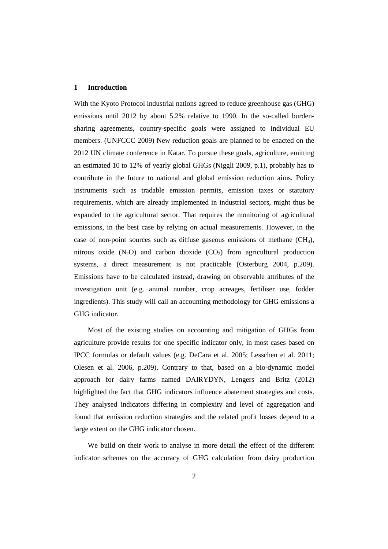#### **1 Introduction**

With the Kyoto Protocol industrial nations agreed to reduce greenhouse gas (GHG) emissions until 2012 by about 5.2% relative to 1990. In the so-called burdensharing agreements, country-specific goals were assigned to individual EU members. (UNFCCC 2009) New reduction goals are planned to be enacted on the 2012 UN climate conference in Katar. To pursue these goals, agriculture, emitting an estimated 10 to 12% of yearly global GHGs (Niggli 2009, p.1), probably has to contribute in the future to national and global emission reduction aims. Policy instruments such as tradable emission permits, emission taxes or statutory requirements, which are already implemented in industrial sectors, might thus be expanded to the agricultural sector. That requires the monitoring of agricultural emissions, in the best case by relying on actual measurements. However, in the case of non-point sources such as diffuse gaseous emissions of methane  $(CH_4)$ , nitrous oxide  $(N_2O)$  and carbon dioxide  $(CO_2)$  from agricultural production systems, a direct measurement is not practicable (Osterburg 2004, p.209). Emissions have to be calculated instead, drawing on observable attributes of the investigation unit (e.g. animal number, crop acreages, fertiliser use, fodder ingredients). This study will call an accounting methodology for GHG emissions a GHG indicator.

Most of the existing studies on accounting and mitigation of GHGs from agriculture provide results for one specific indicator only, in most cases based on IPCC formulas or default values (e.g. DeCara et al. 2005; Lesschen et al. 2011; Olesen et al. 2006, p.209). Contrary to that, based on a bio-dynamic model approach for dairy farms named DAIRYDYN, Lengers and Britz (2012) highlighted the fact that GHG indicators influence abatement strategies and costs. They analysed indicators differing in complexity and level of aggregation and found that emission reduction strategies and the related profit losses depend to a large extent on the GHG indicator chosen.

We build on their work to analyse in more detail the effect of the different indicator schemes on the accuracy of GHG calculation from dairy production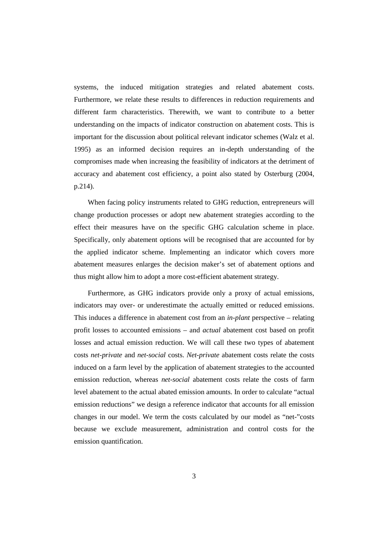systems, the induced mitigation strategies and related abatement costs. Furthermore, we relate these results to differences in reduction requirements and different farm characteristics. Therewith, we want to contribute to a better understanding on the impacts of indicator construction on abatement costs. This is important for the discussion about political relevant indicator schemes (Walz et al. 1995) as an informed decision requires an in-depth understanding of the compromises made when increasing the feasibility of indicators at the detriment of accuracy and abatement cost efficiency, a point also stated by Osterburg (2004, p.214).

When facing policy instruments related to GHG reduction, entrepreneurs will change production processes or adopt new abatement strategies according to the effect their measures have on the specific GHG calculation scheme in place. Specifically, only abatement options will be recognised that are accounted for by the applied indicator scheme. Implementing an indicator which covers more abatement measures enlarges the decision maker's set of abatement options and thus might allow him to adopt a more cost-efficient abatement strategy.

Furthermore, as GHG indicators provide only a proxy of actual emissions, indicators may over- or underestimate the actually emitted or reduced emissions. This induces a difference in abatement cost from an *in-plant* perspective – relating profit losses to accounted emissions – and *actual* abatement cost based on profit losses and actual emission reduction. We will call these two types of abatement costs *net-private* and *net-social* costs. *Net-private* abatement costs relate the costs induced on a farm level by the application of abatement strategies to the accounted emission reduction, whereas *net-social* abatement costs relate the costs of farm level abatement to the actual abated emission amounts. In order to calculate "actual emission reductions" we design a reference indicator that accounts for all emission changes in our model. We term the costs calculated by our model as "net-"costs because we exclude measurement, administration and control costs for the emission quantification.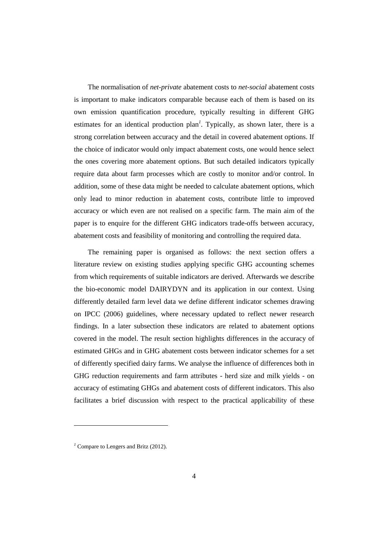The normalisation of *net-private* abatement costs to *net-social* abatement costs is important to make indicators comparable because each of them is based on its own emission quantification procedure, typically resulting in different GHG estimates for an identical production plan*<sup>1</sup>* . Typically, as shown later, there is a strong correlation between accuracy and the detail in covered abatement options. If the choice of indicator would only impact abatement costs, one would hence select the ones covering more abatement options. But such detailed indicators typically require data about farm processes which are costly to monitor and/or control. In addition, some of these data might be needed to calculate abatement options, which only lead to minor reduction in abatement costs, contribute little to improved accuracy or which even are not realised on a specific farm. The main aim of the paper is to enquire for the different GHG indicators trade-offs between accuracy, abatement costs and feasibility of monitoring and controlling the required data.

The remaining paper is organised as follows: the next section offers a literature review on existing studies applying specific GHG accounting schemes from which requirements of suitable indicators are derived. Afterwards we describe the bio-economic model DAIRYDYN and its application in our context. Using differently detailed farm level data we define different indicator schemes drawing on IPCC (2006) guidelines, where necessary updated to reflect newer research findings. In a later subsection these indicators are related to abatement options covered in the model. The result section highlights differences in the accuracy of estimated GHGs and in GHG abatement costs between indicator schemes for a set of differently specified dairy farms. We analyse the influence of differences both in GHG reduction requirements and farm attributes - herd size and milk yields - on accuracy of estimating GHGs and abatement costs of different indicators. This also facilitates a brief discussion with respect to the practical applicability of these

 $\overline{a}$ 

*<sup>1</sup>* Compare to Lengers and Britz (2012).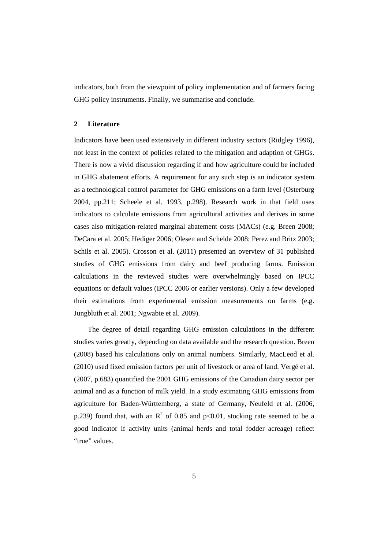indicators, both from the viewpoint of policy implementation and of farmers facing GHG policy instruments. Finally, we summarise and conclude.

#### **2 Literature**

Indicators have been used extensively in different industry sectors (Ridgley 1996), not least in the context of policies related to the mitigation and adaption of GHGs. There is now a vivid discussion regarding if and how agriculture could be included in GHG abatement efforts. A requirement for any such step is an indicator system as a technological control parameter for GHG emissions on a farm level (Osterburg 2004, pp.211; Scheele et al. 1993, p.298). Research work in that field uses indicators to calculate emissions from agricultural activities and derives in some cases also mitigation-related marginal abatement costs (MACs) (e.g. Breen 2008; DeCara et al. 2005; Hediger 2006; Olesen and Schelde 2008; Perez and Britz 2003; Schils et al. 2005). Crosson et al. (2011) presented an overview of 31 published studies of GHG emissions from dairy and beef producing farms. Emission calculations in the reviewed studies were overwhelmingly based on IPCC equations or default values (IPCC 2006 or earlier versions). Only a few developed their estimations from experimental emission measurements on farms (e.g. Jungbluth et al. 2001; Ngwabie et al. 2009).

The degree of detail regarding GHG emission calculations in the different studies varies greatly, depending on data available and the research question. Breen (2008) based his calculations only on animal numbers. Similarly, MacLeod et al. (2010) used fixed emission factors per unit of livestock or area of land. Vergé et al. (2007, p.683) quantified the 2001 GHG emissions of the Canadian dairy sector per animal and as a function of milk yield. In a study estimating GHG emissions from agriculture for Baden-Württemberg, a state of Germany, Neufeld et al. (2006, p.239) found that, with an  $\mathbb{R}^2$  of 0.85 and p<0.01, stocking rate seemed to be a good indicator if activity units (animal herds and total fodder acreage) reflect "true" values.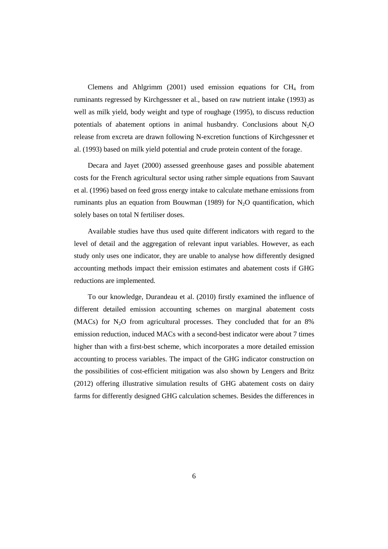Clemens and Ahlgrimm  $(2001)$  used emission equations for  $CH<sub>4</sub>$  from ruminants regressed by Kirchgessner et al., based on raw nutrient intake (1993) as well as milk yield, body weight and type of roughage (1995), to discuss reduction potentials of abatement options in animal husbandry. Conclusions about  $N_2O$ release from excreta are drawn following N-excretion functions of Kirchgessner et al. (1993) based on milk yield potential and crude protein content of the forage.

Decara and Jayet (2000) assessed greenhouse gases and possible abatement costs for the French agricultural sector using rather simple equations from Sauvant et al. (1996) based on feed gross energy intake to calculate methane emissions from ruminants plus an equation from Bouwman (1989) for  $N_2O$  quantification, which solely bases on total N fertiliser doses.

Available studies have thus used quite different indicators with regard to the level of detail and the aggregation of relevant input variables. However, as each study only uses one indicator, they are unable to analyse how differently designed accounting methods impact their emission estimates and abatement costs if GHG reductions are implemented.

To our knowledge, Durandeau et al. (2010) firstly examined the influence of different detailed emission accounting schemes on marginal abatement costs (MACs) for  $N_2O$  from agricultural processes. They concluded that for an 8% emission reduction, induced MACs with a second-best indicator were about 7 times higher than with a first-best scheme, which incorporates a more detailed emission accounting to process variables. The impact of the GHG indicator construction on the possibilities of cost-efficient mitigation was also shown by Lengers and Britz (2012) offering illustrative simulation results of GHG abatement costs on dairy farms for differently designed GHG calculation schemes. Besides the differences in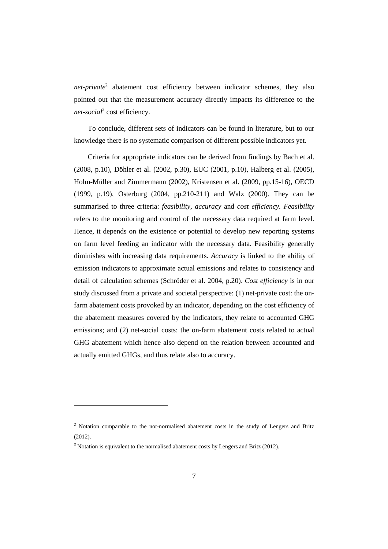*net-private*<sup>2</sup> abatement cost efficiency between indicator schemes, they also pointed out that the measurement accuracy directly impacts its difference to the *net-social*<sup>3</sup> cost efficiency.

To conclude, different sets of indicators can be found in literature, but to our knowledge there is no systematic comparison of different possible indicators yet.

Criteria for appropriate indicators can be derived from findings by Bach et al. (2008, p.10), Döhler et al. (2002, p.30), EUC (2001, p.10), Halberg et al. (2005), Holm-Müller and Zimmermann (2002), Kristensen et al. (2009, pp.15-16), OECD (1999, p.19), Osterburg (2004, pp.210-211) and Walz (2000). They can be summarised to three criteria: *feasibility, accuracy* and *cost efficiency. Feasibility* refers to the monitoring and control of the necessary data required at farm level. Hence, it depends on the existence or potential to develop new reporting systems on farm level feeding an indicator with the necessary data. Feasibility generally diminishes with increasing data requirements. *Accuracy* is linked to the ability of emission indicators to approximate actual emissions and relates to consistency and detail of calculation schemes (Schröder et al. 2004, p.20). *Cost efficiency* is in our study discussed from a private and societal perspective: (1) net-private cost: the onfarm abatement costs provoked by an indicator, depending on the cost efficiency of the abatement measures covered by the indicators, they relate to accounted GHG emissions; and (2) net-social costs: the on-farm abatement costs related to actual GHG abatement which hence also depend on the relation between accounted and actually emitted GHGs, and thus relate also to accuracy.

 $\overline{a}$ 

<sup>&</sup>lt;sup>2</sup> Notation comparable to the not-normalised abatement costs in the study of Lengers and Britz (2012).

<sup>&</sup>lt;sup>3</sup> Notation is equivalent to the normalised abatement costs by Lengers and Britz (2012).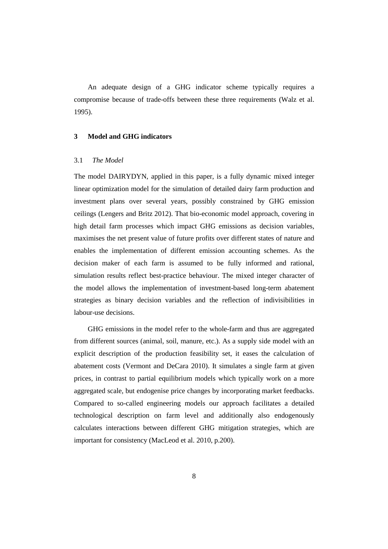An adequate design of a GHG indicator scheme typically requires a compromise because of trade-offs between these three requirements (Walz et al. 1995).

### **3 Model and GHG indicators**

# 3.1 *The Model*

The model DAIRYDYN, applied in this paper, is a fully dynamic mixed integer linear optimization model for the simulation of detailed dairy farm production and investment plans over several years, possibly constrained by GHG emission ceilings (Lengers and Britz 2012). That bio-economic model approach, covering in high detail farm processes which impact GHG emissions as decision variables, maximises the net present value of future profits over different states of nature and enables the implementation of different emission accounting schemes. As the decision maker of each farm is assumed to be fully informed and rational, simulation results reflect best-practice behaviour. The mixed integer character of the model allows the implementation of investment-based long-term abatement strategies as binary decision variables and the reflection of indivisibilities in labour-use decisions.

GHG emissions in the model refer to the whole-farm and thus are aggregated from different sources (animal, soil, manure, etc.). As a supply side model with an explicit description of the production feasibility set, it eases the calculation of abatement costs (Vermont and DeCara 2010). It simulates a single farm at given prices, in contrast to partial equilibrium models which typically work on a more aggregated scale, but endogenise price changes by incorporating market feedbacks. Compared to so-called engineering models our approach facilitates a detailed technological description on farm level and additionally also endogenously calculates interactions between different GHG mitigation strategies, which are important for consistency (MacLeod et al. 2010, p.200).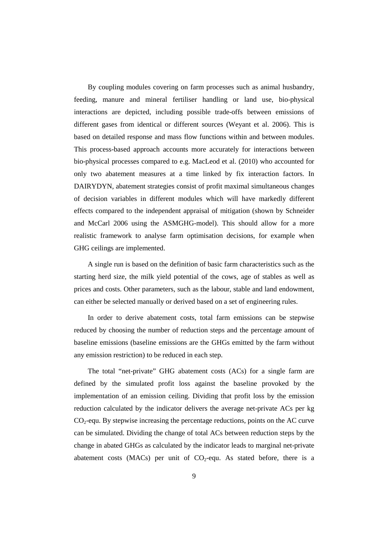By coupling modules covering on farm processes such as animal husbandry, feeding, manure and mineral fertiliser handling or land use, bio-physical interactions are depicted, including possible trade-offs between emissions of different gases from identical or different sources (Weyant et al. 2006). This is based on detailed response and mass flow functions within and between modules. This process-based approach accounts more accurately for interactions between bio-physical processes compared to e.g. MacLeod et al. (2010) who accounted for only two abatement measures at a time linked by fix interaction factors. In DAIRYDYN, abatement strategies consist of profit maximal simultaneous changes of decision variables in different modules which will have markedly different effects compared to the independent appraisal of mitigation (shown by Schneider and McCarl 2006 using the ASMGHG-model). This should allow for a more realistic framework to analyse farm optimisation decisions, for example when GHG ceilings are implemented.

A single run is based on the definition of basic farm characteristics such as the starting herd size, the milk yield potential of the cows, age of stables as well as prices and costs. Other parameters, such as the labour, stable and land endowment, can either be selected manually or derived based on a set of engineering rules.

In order to derive abatement costs, total farm emissions can be stepwise reduced by choosing the number of reduction steps and the percentage amount of baseline emissions (baseline emissions are the GHGs emitted by the farm without any emission restriction) to be reduced in each step.

The total "net-private" GHG abatement costs (ACs) for a single farm are defined by the simulated profit loss against the baseline provoked by the implementation of an emission ceiling. Dividing that profit loss by the emission reduction calculated by the indicator delivers the average net-private ACs per kg  $CO<sub>2</sub>$ -equ. By stepwise increasing the percentage reductions, points on the AC curve can be simulated. Dividing the change of total ACs between reduction steps by the change in abated GHGs as calculated by the indicator leads to marginal net-private abatement costs (MACs) per unit of  $CO<sub>2</sub>$ -equ. As stated before, there is a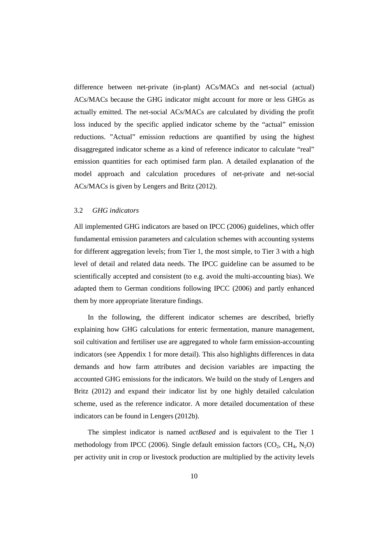difference between net-private (in-plant) ACs/MACs and net-social (actual) ACs/MACs because the GHG indicator might account for more or less GHGs as actually emitted. The net-social ACs/MACs are calculated by dividing the profit loss induced by the specific applied indicator scheme by the "actual" emission reductions. "Actual" emission reductions are quantified by using the highest disaggregated indicator scheme as a kind of reference indicator to calculate "real" emission quantities for each optimised farm plan. A detailed explanation of the model approach and calculation procedures of net-private and net-social ACs/MACs is given by Lengers and Britz (2012).

# 3.2 *GHG indicators*

All implemented GHG indicators are based on IPCC (2006) guidelines, which offer fundamental emission parameters and calculation schemes with accounting systems for different aggregation levels; from Tier 1, the most simple, to Tier 3 with a high level of detail and related data needs. The IPCC guideline can be assumed to be scientifically accepted and consistent (to e.g. avoid the multi-accounting bias). We adapted them to German conditions following IPCC (2006) and partly enhanced them by more appropriate literature findings.

In the following, the different indicator schemes are described, briefly explaining how GHG calculations for enteric fermentation, manure management, soil cultivation and fertiliser use are aggregated to whole farm emission-accounting indicators (see Appendix 1 for more detail). This also highlights differences in data demands and how farm attributes and decision variables are impacting the accounted GHG emissions for the indicators. We build on the study of Lengers and Britz (2012) and expand their indicator list by one highly detailed calculation scheme, used as the reference indicator. A more detailed documentation of these indicators can be found in Lengers (2012b).

The simplest indicator is named *actBased* and is equivalent to the Tier 1 methodology from IPCC (2006). Single default emission factors  $(CO_2, CH_4, N_2O)$ per activity unit in crop or livestock production are multiplied by the activity levels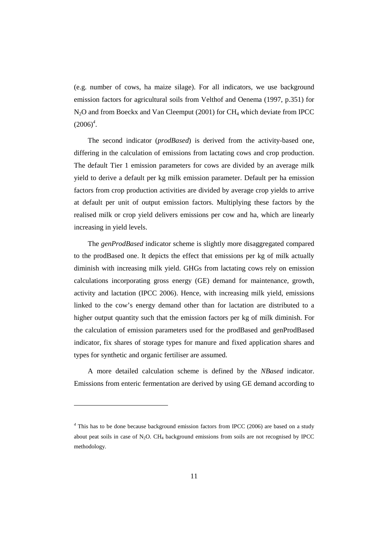(e.g. number of cows, ha maize silage). For all indicators, we use background emission factors for agricultural soils from Velthof and Oenema (1997, p.351) for N<sub>2</sub>O and from Boeckx and Van Cleemput (2001) for CH<sub>4</sub> which deviate from IPCC  $(2006)^4$ .

The second indicator (*prodBased*) is derived from the activity-based one, differing in the calculation of emissions from lactating cows and crop production. The default Tier 1 emission parameters for cows are divided by an average milk yield to derive a default per kg milk emission parameter. Default per ha emission factors from crop production activities are divided by average crop yields to arrive at default per unit of output emission factors. Multiplying these factors by the realised milk or crop yield delivers emissions per cow and ha, which are linearly increasing in yield levels.

The *genProdBased* indicator scheme is slightly more disaggregated compared to the prodBased one. It depicts the effect that emissions per kg of milk actually diminish with increasing milk yield. GHGs from lactating cows rely on emission calculations incorporating gross energy (GE) demand for maintenance, growth, activity and lactation (IPCC 2006). Hence, with increasing milk yield, emissions linked to the cow's energy demand other than for lactation are distributed to a higher output quantity such that the emission factors per kg of milk diminish. For the calculation of emission parameters used for the prodBased and genProdBased indicator, fix shares of storage types for manure and fixed application shares and types for synthetic and organic fertiliser are assumed.

A more detailed calculation scheme is defined by the *NBased* indicator. Emissions from enteric fermentation are derived by using GE demand according to

 $\overline{a}$ 

<sup>&</sup>lt;sup>4</sup> This has to be done because background emission factors from IPCC (2006) are based on a study about peat soils in case of  $N_2O$ . CH<sub>4</sub> background emissions from soils are not recognised by IPCC methodology.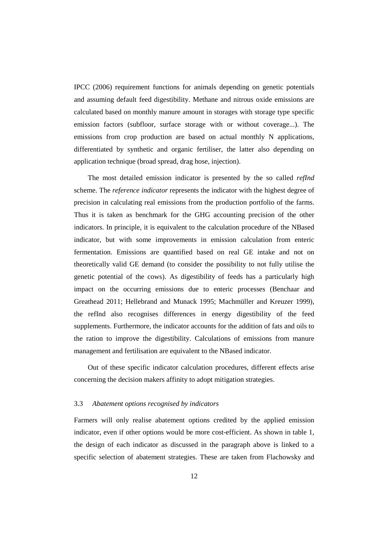IPCC (2006) requirement functions for animals depending on genetic potentials and assuming default feed digestibility. Methane and nitrous oxide emissions are calculated based on monthly manure amount in storages with storage type specific emission factors (subfloor, surface storage with or without coverage...). The emissions from crop production are based on actual monthly N applications, differentiated by synthetic and organic fertiliser, the latter also depending on application technique (broad spread, drag hose, injection).

The most detailed emission indicator is presented by the so called *refInd*  scheme. The *reference indicator* represents the indicator with the highest degree of precision in calculating real emissions from the production portfolio of the farms. Thus it is taken as benchmark for the GHG accounting precision of the other indicators. In principle, it is equivalent to the calculation procedure of the NBased indicator, but with some improvements in emission calculation from enteric fermentation. Emissions are quantified based on real GE intake and not on theoretically valid GE demand (to consider the possibility to not fully utilise the genetic potential of the cows). As digestibility of feeds has a particularly high impact on the occurring emissions due to enteric processes (Benchaar and Greathead 2011; Hellebrand and Munack 1995; Machmüller and Kreuzer 1999), the refInd also recognises differences in energy digestibility of the feed supplements. Furthermore, the indicator accounts for the addition of fats and oils to the ration to improve the digestibility. Calculations of emissions from manure management and fertilisation are equivalent to the NBased indicator.

Out of these specific indicator calculation procedures, different effects arise concerning the decision makers affinity to adopt mitigation strategies.

#### 3.3 *Abatement options recognised by indicators*

Farmers will only realise abatement options credited by the applied emission indicator, even if other options would be more cost-efficient. As shown in table 1, the design of each indicator as discussed in the paragraph above is linked to a specific selection of abatement strategies. These are taken from Flachowsky and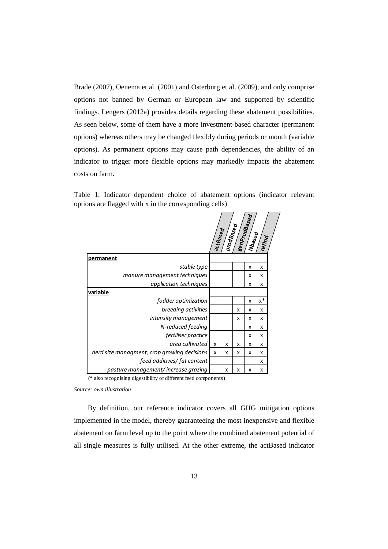Brade (2007), Oenema et al. (2001) and Osterburg et al. (2009), and only comprise options not banned by German or European law and supported by scientific findings. Lengers (2012a) provides details regarding these abatement possibilities. As seen below, some of them have a more investment-based character (permanent options) whereas others may be changed flexibly during periods or month (variable options). As permanent options may cause path dependencies, the ability of an indicator to trigger more flexible options may markedly impacts the abatement costs on farm.

Table 1: Indicator dependent choice of abatement options (indicator relevant options are flagged with x in the corresponding cells)



(\* also recognising digestibility of different feed components)

*Source: own illustration* 

By definition, our reference indicator covers all GHG mitigation options implemented in the model, thereby guaranteeing the most inexpensive and flexible abatement on farm level up to the point where the combined abatement potential of all single measures is fully utilised. At the other extreme, the actBased indicator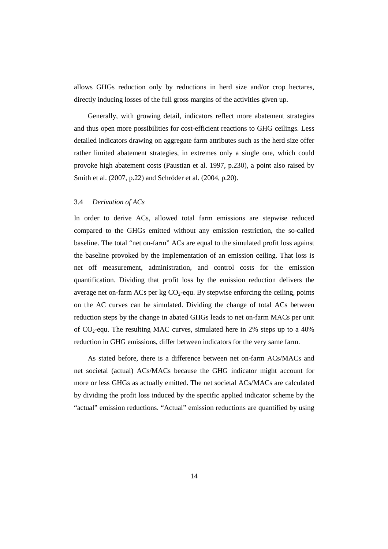allows GHGs reduction only by reductions in herd size and/or crop hectares, directly inducing losses of the full gross margins of the activities given up.

Generally, with growing detail, indicators reflect more abatement strategies and thus open more possibilities for cost-efficient reactions to GHG ceilings. Less detailed indicators drawing on aggregate farm attributes such as the herd size offer rather limited abatement strategies, in extremes only a single one, which could provoke high abatement costs (Paustian et al. 1997, p.230), a point also raised by Smith et al. (2007, p.22) and Schröder et al. (2004, p.20).

#### 3.4 *Derivation of ACs*

In order to derive ACs, allowed total farm emissions are stepwise reduced compared to the GHGs emitted without any emission restriction, the so-called baseline. The total "net on-farm" ACs are equal to the simulated profit loss against the baseline provoked by the implementation of an emission ceiling. That loss is net off measurement, administration, and control costs for the emission quantification. Dividing that profit loss by the emission reduction delivers the average net on-farm ACs per kg  $CO<sub>2</sub>$ -equ. By stepwise enforcing the ceiling, points on the AC curves can be simulated. Dividing the change of total ACs between reduction steps by the change in abated GHGs leads to net on-farm MACs per unit of  $CO_2$ -equ. The resulting MAC curves, simulated here in 2% steps up to a 40% reduction in GHG emissions, differ between indicators for the very same farm.

As stated before, there is a difference between net on-farm ACs/MACs and net societal (actual) ACs/MACs because the GHG indicator might account for more or less GHGs as actually emitted. The net societal ACs/MACs are calculated by dividing the profit loss induced by the specific applied indicator scheme by the "actual" emission reductions. "Actual" emission reductions are quantified by using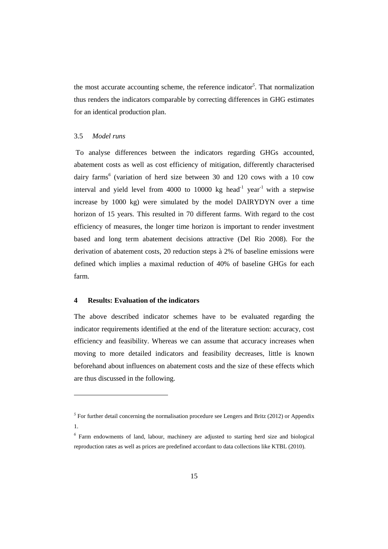the most accurate accounting scheme, the reference indicator*<sup>5</sup>* . That normalization thus renders the indicators comparable by correcting differences in GHG estimates for an identical production plan.

## 3.5 *Model runs*

 $\overline{a}$ 

 To analyse differences between the indicators regarding GHGs accounted, abatement costs as well as cost efficiency of mitigation, differently characterised dairy farms*<sup>6</sup>* (variation of herd size between 30 and 120 cows with a 10 cow interval and yield level from 4000 to 10000 kg head<sup>-1</sup> year<sup>-1</sup> with a stepwise increase by 1000 kg) were simulated by the model DAIRYDYN over a time horizon of 15 years. This resulted in 70 different farms. With regard to the cost efficiency of measures, the longer time horizon is important to render investment based and long term abatement decisions attractive (Del Rio 2008). For the derivation of abatement costs, 20 reduction steps à 2% of baseline emissions were defined which implies a maximal reduction of 40% of baseline GHGs for each farm.

#### **4 Results: Evaluation of the indicators**

The above described indicator schemes have to be evaluated regarding the indicator requirements identified at the end of the literature section: accuracy, cost efficiency and feasibility. Whereas we can assume that accuracy increases when moving to more detailed indicators and feasibility decreases, little is known beforehand about influences on abatement costs and the size of these effects which are thus discussed in the following.

 $<sup>5</sup>$  For further detail concerning the normalisation procedure see Lengers and Britz (2012) or Appendix</sup> 1.

*<sup>6</sup>* Farm endowments of land, labour, machinery are adjusted to starting herd size and biological reproduction rates as well as prices are predefined accordant to data collections like KTBL (2010).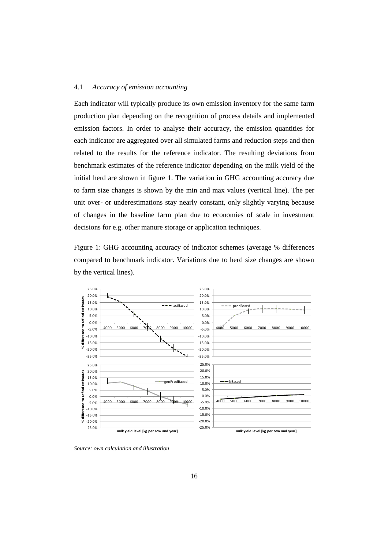#### 4.1 *Accuracy of emission accounting*

Each indicator will typically produce its own emission inventory for the same farm production plan depending on the recognition of process details and implemented emission factors. In order to analyse their accuracy, the emission quantities for each indicator are aggregated over all simulated farms and reduction steps and then related to the results for the reference indicator. The resulting deviations from benchmark estimates of the reference indicator depending on the milk yield of the initial herd are shown in figure 1. The variation in GHG accounting accuracy due to farm size changes is shown by the min and max values (vertical line). The per unit over- or underestimations stay nearly constant, only slightly varying because of changes in the baseline farm plan due to economies of scale in investment decisions for e.g. other manure storage or application techniques.

Figure 1: GHG accounting accuracy of indicator schemes (average % differences compared to benchmark indicator. Variations due to herd size changes are shown by the vertical lines).



*Source: own calculation and illustration*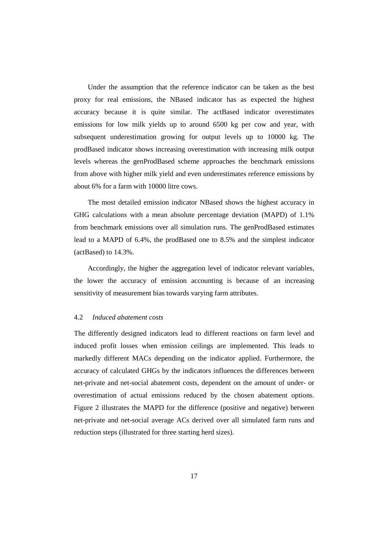Under the assumption that the reference indicator can be taken as the best proxy for real emissions, the NBased indicator has as expected the highest accuracy because it is quite similar. The actBased indicator overestimates emissions for low milk yields up to around 6500 kg per cow and year, with subsequent underestimation growing for output levels up to 10000 kg. The prodBased indicator shows increasing overestimation with increasing milk output levels whereas the genProdBased scheme approaches the benchmark emissions from above with higher milk yield and even underestimates reference emissions by about 6% for a farm with 10000 litre cows.

The most detailed emission indicator NBased shows the highest accuracy in GHG calculations with a mean absolute percentage deviation (MAPD) of 1.1% from benchmark emissions over all simulation runs. The genProdBased estimates lead to a MAPD of 6.4%, the prodBased one to 8.5% and the simplest indicator (actBased) to 14.3%.

Accordingly, the higher the aggregation level of indicator relevant variables, the lower the accuracy of emission accounting is because of an increasing sensitivity of measurement bias towards varying farm attributes.

#### 4.2 *Induced abatement costs*

The differently designed indicators lead to different reactions on farm level and induced profit losses when emission ceilings are implemented. This leads to markedly different MACs depending on the indicator applied. Furthermore, the accuracy of calculated GHGs by the indicators influences the differences between net-private and net-social abatement costs, dependent on the amount of under- or overestimation of actual emissions reduced by the chosen abatement options. Figure 2 illustrates the MAPD for the difference (positive and negative) between net-private and net-social average ACs derived over all simulated farm runs and reduction steps (illustrated for three starting herd sizes).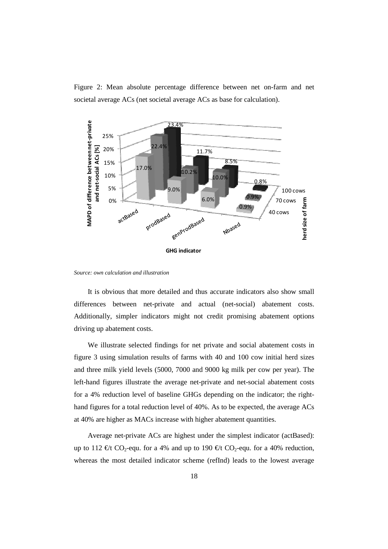Figure 2: Mean absolute percentage difference between net on-farm and net societal average ACs (net societal average ACs as base for calculation).



*Source: own calculation and illustration* 

It is obvious that more detailed and thus accurate indicators also show small differences between net-private and actual (net-social) abatement costs. Additionally, simpler indicators might not credit promising abatement options driving up abatement costs.

We illustrate selected findings for net private and social abatement costs in figure 3 using simulation results of farms with 40 and 100 cow initial herd sizes and three milk yield levels (5000, 7000 and 9000 kg milk per cow per year). The left-hand figures illustrate the average net-private and net-social abatement costs for a 4% reduction level of baseline GHGs depending on the indicator; the righthand figures for a total reduction level of 40%. As to be expected, the average ACs at 40% are higher as MACs increase with higher abatement quantities.

Average net-private ACs are highest under the simplest indicator (actBased): up to 112 €/t CO<sub>2</sub>-equ. for a 4% and up to 190 €/t CO<sub>2</sub>-equ. for a 40% reduction, whereas the most detailed indicator scheme (refInd) leads to the lowest average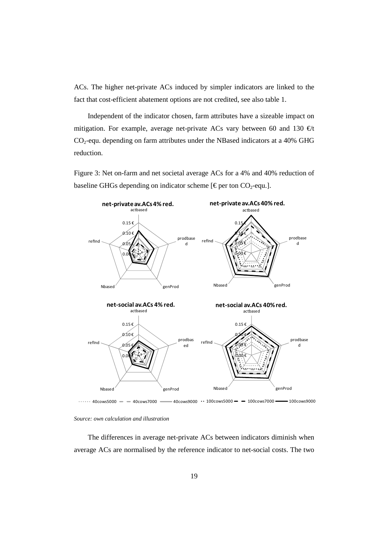ACs. The higher net-private ACs induced by simpler indicators are linked to the fact that cost-efficient abatement options are not credited, see also table 1.

Independent of the indicator chosen, farm attributes have a sizeable impact on mitigation. For example, average net-private ACs vary between 60 and 130  $\epsilon/t$  $CO<sub>2</sub>$ -equ. depending on farm attributes under the NBased indicators at a 40% GHG reduction.

Figure 3: Net on-farm and net societal average ACs for a 4% and 40% reduction of baseline GHGs depending on indicator scheme [ $\epsilon$  perton CO<sub>2</sub>-equ.].



 $\cdots$  40cows5000  $-$  40cows7000  $-$ 

The differences in average net-private ACs between indicators diminish when average ACs are normalised by the reference indicator to net-social costs. The two

*Source: own calculation and illustration*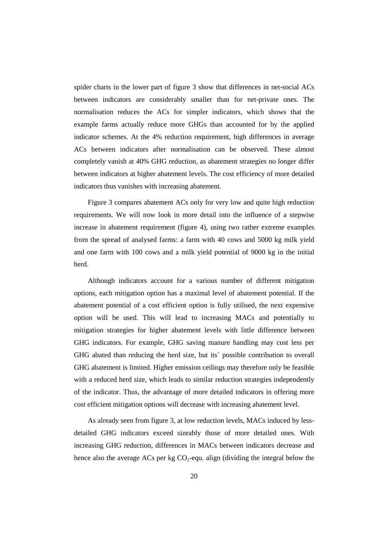spider charts in the lower part of figure 3 show that differences in net-social ACs between indicators are considerably smaller than for net-private ones. The normalisation reduces the ACs for simpler indicators, which shows that the example farms actually reduce more GHGs than accounted for by the applied indicator schemes. At the 4% reduction requirement, high differences in average ACs between indicators after normalisation can be observed. These almost completely vanish at 40% GHG reduction, as abatement strategies no longer differ between indicators at higher abatement levels. The cost efficiency of more detailed indicators thus vanishes with increasing abatement.

Figure 3 compares abatement ACs only for very low and quite high reduction requirements. We will now look in more detail into the influence of a stepwise increase in abatement requirement (figure 4), using two rather extreme examples from the spread of analysed farms: a farm with 40 cows and 5000 kg milk yield and one farm with 100 cows and a milk yield potential of 9000 kg in the initial herd.

Although indicators account for a various number of different mitigation options, each mitigation option has a maximal level of abatement potential. If the abatement potential of a cost efficient option is fully utilised, the next expensive option will be used. This will lead to increasing MACs and potentially to mitigation strategies for higher abatement levels with little difference between GHG indicators. For example, GHG saving manure handling may cost less per GHG abated than reducing the herd size, but its´ possible contribution to overall GHG abatement is limited. Higher emission ceilings may therefore only be feasible with a reduced herd size, which leads to similar reduction strategies independently of the indicator. Thus, the advantage of more detailed indicators in offering more cost efficient mitigation options will decrease with increasing abatement level.

As already seen from figure 3, at low reduction levels, MACs induced by lessdetailed GHG indicators exceed sizeably those of more detailed ones. With increasing GHG reduction, differences in MACs between indicators decrease and hence also the average ACs per kg  $CO<sub>2</sub>$ -equ. align (dividing the integral below the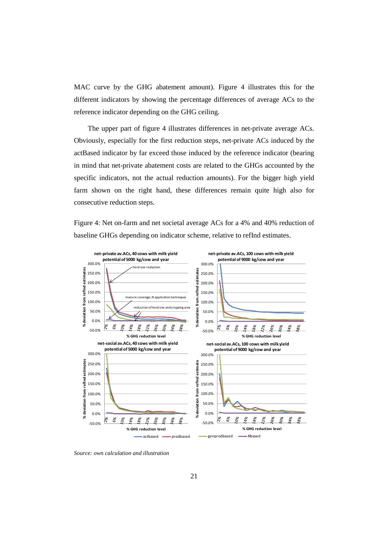MAC curve by the GHG abatement amount). Figure 4 illustrates this for the different indicators by showing the percentage differences of average ACs to the reference indicator depending on the GHG ceiling.

The upper part of figure 4 illustrates differences in net-private average ACs. Obviously, especially for the first reduction steps, net-private ACs induced by the actBased indicator by far exceed those induced by the reference indicator (bearing in mind that net-private abatement costs are related to the GHGs accounted by the specific indicators, not the actual reduction amounts). For the bigger high yield farm shown on the right hand, these differences remain quite high also for consecutive reduction steps.

Figure 4: Net on-farm and net societal average ACs for a 4% and 40% reduction of baseline GHGs depending on indicator scheme, relative to refInd estimates.



*Source: own calculation and illustration*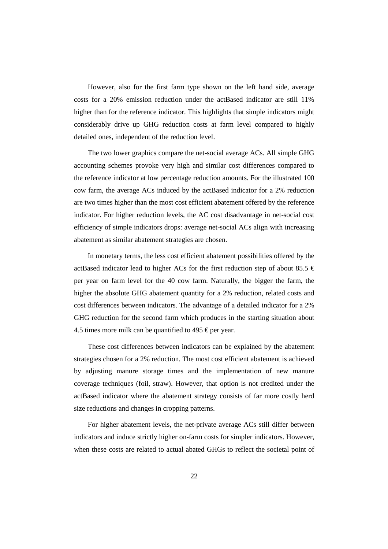However, also for the first farm type shown on the left hand side, average costs for a 20% emission reduction under the actBased indicator are still 11% higher than for the reference indicator. This highlights that simple indicators might considerably drive up GHG reduction costs at farm level compared to highly detailed ones, independent of the reduction level.

The two lower graphics compare the net-social average ACs. All simple GHG accounting schemes provoke very high and similar cost differences compared to the reference indicator at low percentage reduction amounts. For the illustrated 100 cow farm, the average ACs induced by the actBased indicator for a 2% reduction are two times higher than the most cost efficient abatement offered by the reference indicator. For higher reduction levels, the AC cost disadvantage in net-social cost efficiency of simple indicators drops: average net-social ACs align with increasing abatement as similar abatement strategies are chosen.

In monetary terms, the less cost efficient abatement possibilities offered by the actBased indicator lead to higher ACs for the first reduction step of about 85.5  $\epsilon$ per year on farm level for the 40 cow farm. Naturally, the bigger the farm, the higher the absolute GHG abatement quantity for a 2% reduction, related costs and cost differences between indicators. The advantage of a detailed indicator for a 2% GHG reduction for the second farm which produces in the starting situation about 4.5 times more milk can be quantified to 495  $\in$  per year.

These cost differences between indicators can be explained by the abatement strategies chosen for a 2% reduction. The most cost efficient abatement is achieved by adjusting manure storage times and the implementation of new manure coverage techniques (foil, straw). However, that option is not credited under the actBased indicator where the abatement strategy consists of far more costly herd size reductions and changes in cropping patterns.

For higher abatement levels, the net-private average ACs still differ between indicators and induce strictly higher on-farm costs for simpler indicators. However, when these costs are related to actual abated GHGs to reflect the societal point of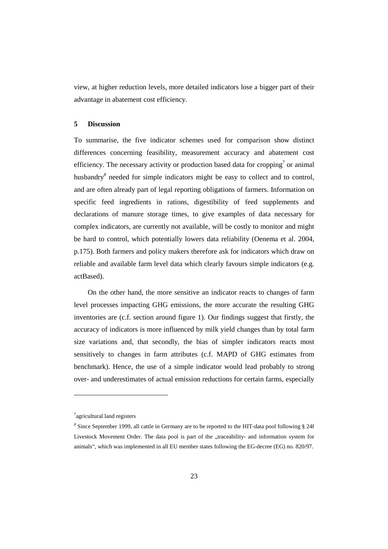view, at higher reduction levels, more detailed indicators lose a bigger part of their advantage in abatement cost efficiency.

#### **5 Discussion**

To summarise, the five indicator schemes used for comparison show distinct differences concerning feasibility, measurement accuracy and abatement cost efficiency. The necessary activity or production based data for cropping<sup>7</sup> or animal husbandry<sup>8</sup> needed for simple indicators might be easy to collect and to control, and are often already part of legal reporting obligations of farmers. Information on specific feed ingredients in rations, digestibility of feed supplements and declarations of manure storage times, to give examples of data necessary for complex indicators, are currently not available, will be costly to monitor and might be hard to control, which potentially lowers data reliability (Oenema et al. 2004, p.175). Both farmers and policy makers therefore ask for indicators which draw on reliable and available farm level data which clearly favours simple indicators (e.g. actBased).

On the other hand, the more sensitive an indicator reacts to changes of farm level processes impacting GHG emissions, the more accurate the resulting GHG inventories are (c.f. section around figure 1). Our findings suggest that firstly, the accuracy of indicators is more influenced by milk yield changes than by total farm size variations and, that secondly, the bias of simpler indicators reacts most sensitively to changes in farm attributes (c.f. MAPD of GHG estimates from benchmark). Hence, the use of a simple indicator would lead probably to strong over- and underestimates of actual emission reductions for certain farms, especially

 $\overline{a}$ 

*<sup>7</sup>* agricultural land registers

*<sup>8</sup>* Since September 1999, all cattle in Germany are to be reported to the HIT-data pool following § 24f Livestock Movement Order. The data pool is part of the "traceability- and information system for animals", which was implemented in all EU member states following the EG-decree (EG) no. 820/97.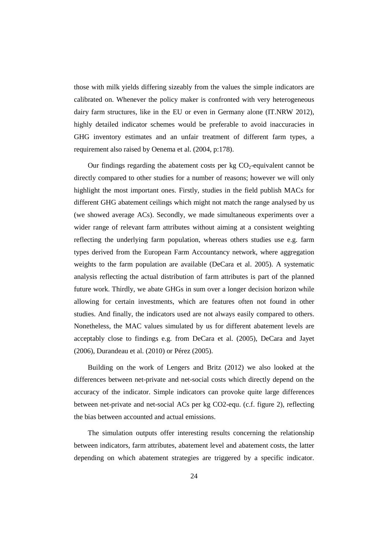those with milk yields differing sizeably from the values the simple indicators are calibrated on. Whenever the policy maker is confronted with very heterogeneous dairy farm structures, like in the EU or even in Germany alone (IT.NRW 2012), highly detailed indicator schemes would be preferable to avoid inaccuracies in GHG inventory estimates and an unfair treatment of different farm types, a requirement also raised by Oenema et al. (2004, p:178).

Our findings regarding the abatement costs per  $kg CO<sub>2</sub>$ -equivalent cannot be directly compared to other studies for a number of reasons; however we will only highlight the most important ones. Firstly, studies in the field publish MACs for different GHG abatement ceilings which might not match the range analysed by us (we showed average ACs). Secondly, we made simultaneous experiments over a wider range of relevant farm attributes without aiming at a consistent weighting reflecting the underlying farm population, whereas others studies use e.g. farm types derived from the European Farm Accountancy network, where aggregation weights to the farm population are available (DeCara et al. 2005). A systematic analysis reflecting the actual distribution of farm attributes is part of the planned future work. Thirdly, we abate GHGs in sum over a longer decision horizon while allowing for certain investments, which are features often not found in other studies. And finally, the indicators used are not always easily compared to others. Nonetheless, the MAC values simulated by us for different abatement levels are acceptably close to findings e.g. from DeCara et al. (2005), DeCara and Jayet (2006), Durandeau et al. (2010) or Pérez (2005).

Building on the work of Lengers and Britz (2012) we also looked at the differences between net-private and net-social costs which directly depend on the accuracy of the indicator. Simple indicators can provoke quite large differences between net-private and net-social ACs per kg CO2-equ. (c.f. figure 2), reflecting the bias between accounted and actual emissions.

The simulation outputs offer interesting results concerning the relationship between indicators, farm attributes, abatement level and abatement costs, the latter depending on which abatement strategies are triggered by a specific indicator.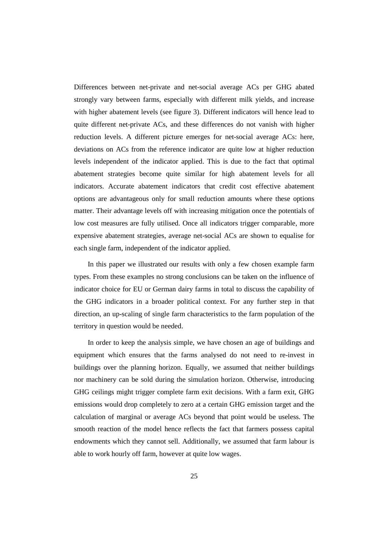Differences between net-private and net-social average ACs per GHG abated strongly vary between farms, especially with different milk yields, and increase with higher abatement levels (see figure 3). Different indicators will hence lead to quite different net-private ACs, and these differences do not vanish with higher reduction levels. A different picture emerges for net-social average ACs: here, deviations on ACs from the reference indicator are quite low at higher reduction levels independent of the indicator applied. This is due to the fact that optimal abatement strategies become quite similar for high abatement levels for all indicators. Accurate abatement indicators that credit cost effective abatement options are advantageous only for small reduction amounts where these options matter. Their advantage levels off with increasing mitigation once the potentials of low cost measures are fully utilised. Once all indicators trigger comparable, more expensive abatement strategies, average net-social ACs are shown to equalise for each single farm, independent of the indicator applied.

In this paper we illustrated our results with only a few chosen example farm types. From these examples no strong conclusions can be taken on the influence of indicator choice for EU or German dairy farms in total to discuss the capability of the GHG indicators in a broader political context. For any further step in that direction, an up-scaling of single farm characteristics to the farm population of the territory in question would be needed.

In order to keep the analysis simple, we have chosen an age of buildings and equipment which ensures that the farms analysed do not need to re-invest in buildings over the planning horizon. Equally, we assumed that neither buildings nor machinery can be sold during the simulation horizon. Otherwise, introducing GHG ceilings might trigger complete farm exit decisions. With a farm exit, GHG emissions would drop completely to zero at a certain GHG emission target and the calculation of marginal or average ACs beyond that point would be useless. The smooth reaction of the model hence reflects the fact that farmers possess capital endowments which they cannot sell. Additionally, we assumed that farm labour is able to work hourly off farm, however at quite low wages.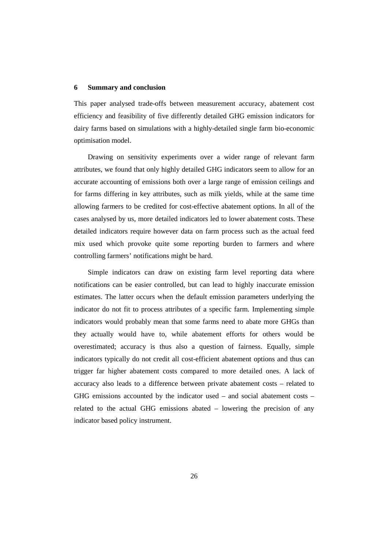#### **6 Summary and conclusion**

This paper analysed trade-offs between measurement accuracy, abatement cost efficiency and feasibility of five differently detailed GHG emission indicators for dairy farms based on simulations with a highly-detailed single farm bio-economic optimisation model.

Drawing on sensitivity experiments over a wider range of relevant farm attributes, we found that only highly detailed GHG indicators seem to allow for an accurate accounting of emissions both over a large range of emission ceilings and for farms differing in key attributes, such as milk yields, while at the same time allowing farmers to be credited for cost-effective abatement options. In all of the cases analysed by us, more detailed indicators led to lower abatement costs. These detailed indicators require however data on farm process such as the actual feed mix used which provoke quite some reporting burden to farmers and where controlling farmers' notifications might be hard.

Simple indicators can draw on existing farm level reporting data where notifications can be easier controlled, but can lead to highly inaccurate emission estimates. The latter occurs when the default emission parameters underlying the indicator do not fit to process attributes of a specific farm. Implementing simple indicators would probably mean that some farms need to abate more GHGs than they actually would have to, while abatement efforts for others would be overestimated; accuracy is thus also a question of fairness. Equally, simple indicators typically do not credit all cost-efficient abatement options and thus can trigger far higher abatement costs compared to more detailed ones. A lack of accuracy also leads to a difference between private abatement costs – related to GHG emissions accounted by the indicator used – and social abatement costs – related to the actual GHG emissions abated – lowering the precision of any indicator based policy instrument.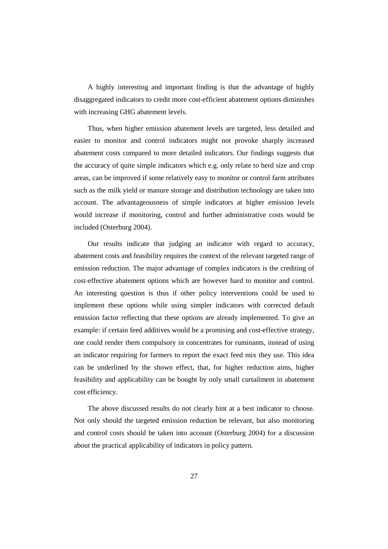A highly interesting and important finding is that the advantage of highly disaggregated indicators to credit more cost-efficient abatement options diminishes with increasing GHG abatement levels.

Thus, when higher emission abatement levels are targeted, less detailed and easier to monitor and control indicators might not provoke sharply increased abatement costs compared to more detailed indicators. Our findings suggests that the accuracy of quite simple indicators which e.g. only relate to herd size and crop areas, can be improved if some relatively easy to monitor or control farm attributes such as the milk yield or manure storage and distribution technology are taken into account. The advantageousness of simple indicators at higher emission levels would increase if monitoring, control and further administrative costs would be included (Osterburg 2004).

Our results indicate that judging an indicator with regard to accuracy, abatement costs and feasibility requires the context of the relevant targeted range of emission reduction. The major advantage of complex indicators is the crediting of cost-effective abatement options which are however hard to monitor and control. An interesting question is thus if other policy interventions could be used to implement these options while using simpler indicators with corrected default emission factor reflecting that these options are already implemented. To give an example: if certain feed additives would be a promising and cost-effective strategy, one could render them compulsory in concentrates for ruminants, instead of using an indicator requiring for farmers to report the exact feed mix they use. This idea can be underlined by the shown effect, that, for higher reduction aims, higher feasibility and applicability can be bought by only small curtailment in abatement cost efficiency.

The above discussed results do not clearly hint at a best indicator to choose. Not only should the targeted emission reduction be relevant, but also monitoring and control costs should be taken into account (Osterburg 2004) for a discussion about the practical applicability of indicators in policy pattern.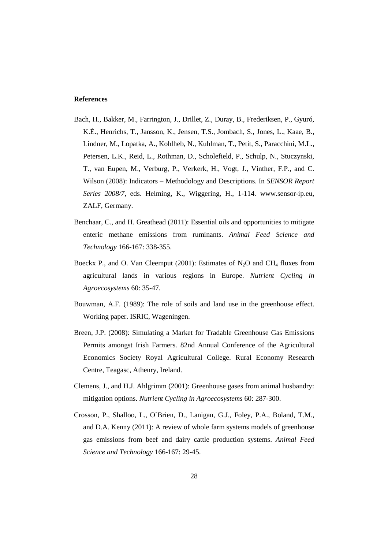#### **References**

- Bach, H., Bakker, M., Farrington, J., Drillet, Z., Duray, B., Frederiksen, P., Gyuró, K.É., Henrichs, T., Jansson, K., Jensen, T.S., Jombach, S., Jones, L., Kaae, B., Lindner, M., Lopatka, A., Kohlheb, N., Kuhlman, T., Petit, S., Paracchini, M.L., Petersen, L.K., Reid, L., Rothman, D., Scholefield, P., Schulp, N., Stuczynski, T., van Eupen, M., Verburg, P., Verkerk, H., Vogt, J., Vinther, F.P., and C. Wilson (2008): Indicators – Methodology and Descriptions. In *SENSOR Report Series 2008/7,* eds. Helming, K., Wiggering, H., 1-114. www.sensor-ip.eu, ZALF, Germany.
- Benchaar, C., and H. Greathead (2011): Essential oils and opportunities to mitigate enteric methane emissions from ruminants. *Animal Feed Science and Technology* 166-167: 338-355.
- Boeckx P., and O. Van Cleemput (2001): Estimates of  $N_2O$  and CH<sub>4</sub> fluxes from agricultural lands in various regions in Europe. *Nutrient Cycling in Agroecosystems* 60: 35-47.
- Bouwman, A.F. (1989): The role of soils and land use in the greenhouse effect. Working paper. ISRIC, Wageningen.
- Breen, J.P. (2008): Simulating a Market for Tradable Greenhouse Gas Emissions Permits amongst Irish Farmers. 82nd Annual Conference of the Agricultural Economics Society Royal Agricultural College. Rural Economy Research Centre, Teagasc, Athenry, Ireland.
- Clemens, J., and H.J. Ahlgrimm (2001): Greenhouse gases from animal husbandry: mitigation options. *Nutrient Cycling in Agroecosystems* 60: 287-300.
- Crosson, P., Shalloo, L., O`Brien, D., Lanigan, G.J., Foley, P.A., Boland, T.M., and D.A. Kenny (2011): A review of whole farm systems models of greenhouse gas emissions from beef and dairy cattle production systems. *Animal Feed Science and Technology* 166-167: 29-45.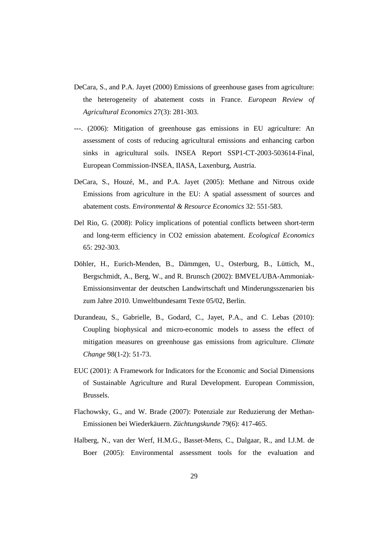- DeCara, S., and P.A. Jayet (2000) Emissions of greenhouse gases from agriculture: the heterogeneity of abatement costs in France. *European Review of Agricultural Economics* 27(3): 281-303.
- ---. (2006): Mitigation of greenhouse gas emissions in EU agriculture: An assessment of costs of reducing agricultural emissions and enhancing carbon sinks in agricultural soils. INSEA Report SSP1-CT-2003-503614-Final, European Commission-INSEA, IIASA, Laxenburg, Austria.
- DeCara, S., Houzé, M., and P.A. Jayet (2005): Methane and Nitrous oxide Emissions from agriculture in the EU: A spatial assessment of sources and abatement costs. *Environmental & Resource Economics* 32: 551-583.
- Del Rio, G. (2008): Policy implications of potential conflicts between short-term and long-term efficiency in CO2 emission abatement. *Ecological Economics* 65: 292-303.
- Döhler, H., Eurich-Menden, B., Dämmgen, U., Osterburg, B., Lüttich, M., Bergschmidt, A., Berg, W., and R. Brunsch (2002): BMVEL/UBA-Ammoniak-Emissionsinventar der deutschen Landwirtschaft und Minderungsszenarien bis zum Jahre 2010. Umweltbundesamt Texte 05/02, Berlin.
- Durandeau, S., Gabrielle, B., Godard, C., Jayet, P.A., and C. Lebas (2010): Coupling biophysical and micro-economic models to assess the effect of mitigation measures on greenhouse gas emissions from agriculture. *Climate Change* 98(1-2): 51-73.
- EUC (2001): A Framework for Indicators for the Economic and Social Dimensions of Sustainable Agriculture and Rural Development. European Commission, Brussels.
- Flachowsky, G., and W. Brade (2007): Potenziale zur Reduzierung der Methan-Emissionen bei Wiederkäuern. *Züchtungskunde* 79(6): 417-465.
- Halberg, N., van der Werf, H.M.G., Basset-Mens, C., Dalgaar, R., and I.J.M. de Boer (2005): Environmental assessment tools for the evaluation and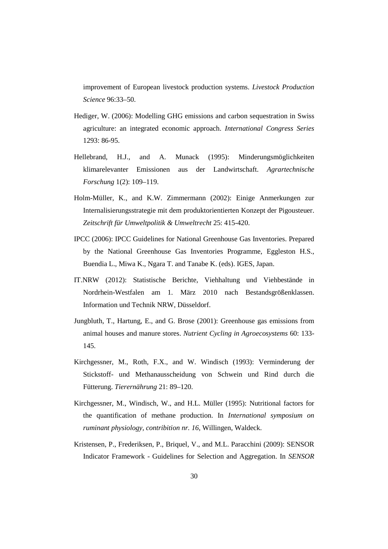improvement of European livestock production systems. *Livestock Production Science* 96:33–50.

- Hediger, W. (2006): Modelling GHG emissions and carbon sequestration in Swiss agriculture: an integrated economic approach. *International Congress Series* 1293: 86-95.
- Hellebrand, H.J., and A. Munack (1995): Minderungsmöglichkeiten klimarelevanter Emissionen aus der Landwirtschaft. *Agrartechnische Forschung* 1(2): 109–119.
- Holm-Müller, K., and K.W. Zimmermann (2002): Einige Anmerkungen zur Internalisierungsstrategie mit dem produktorientierten Konzept der Pigousteuer. *Zeitschrift für Umweltpolitik & Umweltrecht* 25: 415-420.
- IPCC (2006): IPCC Guidelines for National Greenhouse Gas Inventories. Prepared by the National Greenhouse Gas Inventories Programme, Eggleston H.S., Buendia L., Miwa K., Ngara T. and Tanabe K. (eds). IGES, Japan.
- IT.NRW (2012): Statistische Berichte, Viehhaltung und Viehbestände in Nordrhein-Westfalen am 1. März 2010 nach Bestandsgrößenklassen. Information und Technik NRW, Düsseldorf.
- Jungbluth, T., Hartung, E., and G. Brose (2001): Greenhouse gas emissions from animal houses and manure stores. *Nutrient Cycling in Agroecosystems* 60: 133- 145.
- Kirchgessner, M., Roth, F.X., and W. Windisch (1993): Verminderung der Stickstoff- und Methanausscheidung von Schwein und Rind durch die Fütterung. *Tierernährung* 21: 89–120.
- Kirchgessner, M., Windisch, W., and H.L. Müller (1995): Nutritional factors for the quantification of methane production. In *International symposium on ruminant physiology, contribition nr. 16*, Willingen, Waldeck.
- Kristensen, P., Frederiksen, P., Briquel, V., and M.L. Paracchini (2009): SENSOR Indicator Framework - Guidelines for Selection and Aggregation. In *SENSOR*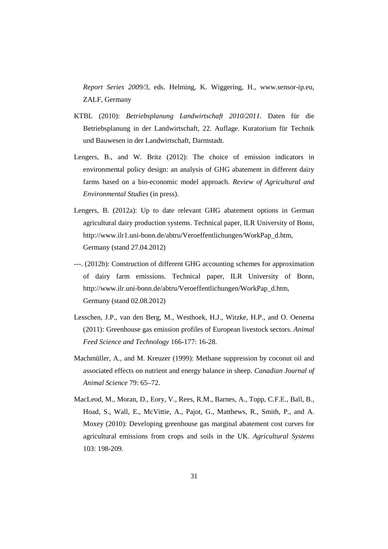*Report Series 2009/3*, eds. Helming, K. Wiggering, H., www.sensor-ip.eu, ZALF, Germany

- KTBL (2010): *Betriebsplanung Landwirtschaft 2010/2011*. Daten für die Betriebsplanung in der Landwirtschaft, 22. Auflage. Kuratorium für Technik und Bauwesen in der Landwirtschaft, Darmstadt.
- Lengers, B., and W. Britz (2012): The choice of emission indicators in environmental policy design: an analysis of GHG abatement in different dairy farms based on a bio-economic model approach. *Review of Agricultural and Environmental Studies* (in press).
- Lengers, B. (2012a): Up to date relevant GHG abatement options in German agricultural dairy production systems. Technical paper, ILR University of Bonn, http://www.ilr1.uni-bonn.de/abtru/Veroeffentlichungen/WorkPap\_d.htm, Germany (stand 27.04.2012)
- ---. (2012b): Construction of different GHG accounting schemes for approximation of dairy farm emissions. Technical paper, ILR University of Bonn, http://www.ilr.uni-bonn.de/abtru/Veroeffentlichungen/WorkPap\_d.htm, Germany (stand 02.08.2012)
- Lesschen, J.P., van den Berg, M., Westhoek, H.J., Witzke, H.P., and O. Oenema (2011): Greenhouse gas emission profiles of European livestock sectors. *Animal Feed Science and Technology* 166-177: 16-28.
- Machmüller, A., and M. Kreuzer (1999): Methane suppression by coconut oil and associated effects on nutrient and energy balance in sheep. *Canadian Journal of Animal Science* 79: 65–72.
- MacLeod, M., Moran, D., Eory, V., Rees, R.M., Barnes, A., Topp, C.F.E., Ball, B., Hoad, S., Wall, E., McVittie, A., Pajot, G., Matthews, R., Smith, P., and A. Moxey (2010): Developing greenhouse gas marginal abatement cost curves for agricultural emissions from crops and soils in the UK. *Agricultural Systems* 103: 198-209.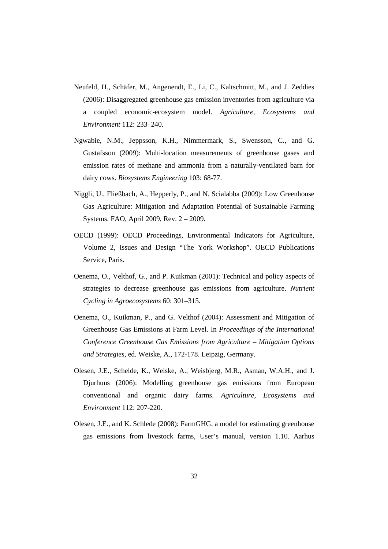- Neufeld, H., Schäfer, M., Angenendt, E., Li, C., Kaltschmitt, M., and J. Zeddies (2006): Disaggregated greenhouse gas emission inventories from agriculture via a coupled economic-ecosystem model. *Agriculture, Ecosystems and Environment* 112: 233–240.
- Ngwabie, N.M., Jeppsson, K.H., Nimmermark, S., Swensson, C., and G. Gustafsson (2009): Multi-location measurements of greenhouse gases and emission rates of methane and ammonia from a naturally-ventilated barn for dairy cows. *Biosystems Engineering* 103: 68-77.
- Niggli, U., Fließbach, A., Hepperly, P., and N. Scialabba (2009): Low Greenhouse Gas Agriculture: Mitigation and Adaptation Potential of Sustainable Farming Systems. FAO, April 2009, Rev. 2 – 2009.
- OECD (1999): OECD Proceedings, Environmental Indicators for Agriculture, Volume 2, Issues and Design "The York Workshop". OECD Publications Service, Paris.
- Oenema, O., Velthof, G., and P. Kuikman (2001): Technical and policy aspects of strategies to decrease greenhouse gas emissions from agriculture. *Nutrient Cycling in Agroecosystems* 60: 301–315.
- Oenema, O., Kuikman, P., and G. Velthof (2004): Assessment and Mitigation of Greenhouse Gas Emissions at Farm Level. In *Proceedings of the International Conference Greenhouse Gas Emissions from Agriculture – Mitigation Options and Strategies,* ed*.* Weiske, A., 172-178. Leipzig, Germany.
- Olesen, J.E., Schelde, K., Weiske, A., Weisbjerg, M.R., Asman, W.A.H., and J. Djurhuus (2006): Modelling greenhouse gas emissions from European conventional and organic dairy farms. *Agriculture, Ecosystems and Environment* 112: 207-220.
- Olesen, J.E., and K. Schlede (2008): FarmGHG, a model for estimating greenhouse gas emissions from livestock farms, User's manual, version 1.10. Aarhus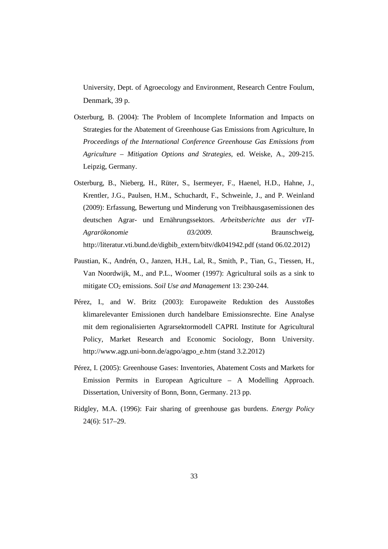University, Dept. of Agroecology and Environment, Research Centre Foulum, Denmark, 39 p.

- Osterburg, B. (2004): The Problem of Incomplete Information and Impacts on Strategies for the Abatement of Greenhouse Gas Emissions from Agriculture, In *Proceedings of the International Conference Greenhouse Gas Emissions from Agriculture – Mitigation Options and Strategies*, ed. Weiske, A., 209-215. Leipzig, Germany.
- Osterburg, B., Nieberg, H., Rüter, S., Isermeyer, F., Haenel, H.D., Hahne, J., Krentler, J.G., Paulsen, H.M., Schuchardt, F., Schweinle, J., and P. Weinland (2009): Erfassung, Bewertung und Minderung von Treibhausgasemissionen des deutschen Agrar- und Ernährungssektors. *Arbeitsberichte aus der vTI-Agrarökonomie 03/2009*. Braunschweig, http://literatur.vti.bund.de/digbib\_extern/bitv/dk041942.pdf (stand 06.02.2012)
- Paustian, K., Andrén, O., Janzen, H.H., Lal, R., Smith, P., Tian, G., Tiessen, H., Van Noordwijk, M., and P.L., Woomer (1997): Agricultural soils as a sink to mitigate CO<sub>2</sub> emissions. *Soil Use and Management* 13: 230-244.
- Pérez, I., and W. Britz (2003): Europaweite Reduktion des Ausstoßes klimarelevanter Emissionen durch handelbare Emissionsrechte. Eine Analyse mit dem regionalisierten Agrarsektormodell CAPRI. Institute for Agricultural Policy, Market Research and Economic Sociology, Bonn University. http://www.agp.uni-bonn.de/agpo/agpo\_e.htm (stand 3.2.2012)
- Pérez, I. (2005): Greenhouse Gases: Inventories, Abatement Costs and Markets for Emission Permits in European Agriculture – A Modelling Approach. Dissertation, University of Bonn, Bonn, Germany. 213 pp.
- Ridgley, M.A. (1996): Fair sharing of greenhouse gas burdens. *Energy Policy* 24(6): 517–29.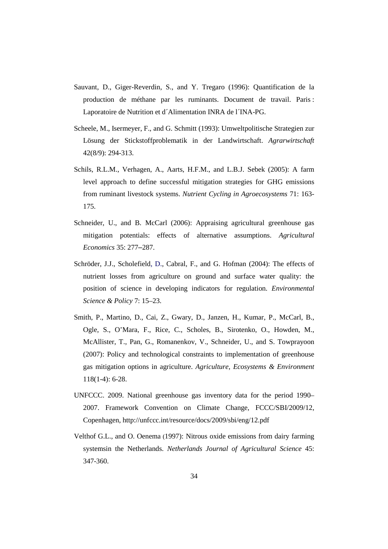- Sauvant, D., Giger-Reverdin, S., and Y. Tregaro (1996): Quantification de la production de méthane par les ruminants. Document de travail. Paris : Laporatoire de Nutrition et d´Alimentation INRA de l´INA-PG.
- Scheele, M., Isermeyer, F., and G. Schmitt (1993): Umweltpolitische Strategien zur Lösung der Stickstoffproblematik in der Landwirtschaft. *Agrarwirtschaft* 42(8/9): 294-313.
- Schils, R.L.M., Verhagen, A., Aarts, H.F.M., and L.B.J. Sebek (2005): A farm level approach to define successful mitigation strategies for GHG emissions from ruminant livestock systems. *Nutrient Cycling in Agroecosystems* 71: 163- 175.
- Schneider, U., and B. McCarl (2006): Appraising agricultural greenhouse gas mitigation potentials: effects of alternative assumptions. *Agricultural Economics* 35: 277–287.
- Schröder, J.J., Scholefield, D., Cabral, F., and G. Hofman (2004): The effects of nutrient losses from agriculture on ground and surface water quality: the position of science in developing indicators for regulation. *Environmental Science & Policy* 7: 15–23.
- Smith, P., Martino, D., Cai, Z., Gwary, D., Janzen, H., Kumar, P., McCarl, B., Ogle, S., O'Mara, F., Rice, C., Scholes, B., Sirotenko, O., Howden, M., McAllister, T., Pan, G., Romanenkov, V., Schneider, U., and S. Towprayoon (2007): Policy and technological constraints to implementation of greenhouse gas mitigation options in agriculture. *Agriculture, Ecosystems & Environment* 118(1-4): 6-28.
- UNFCCC. 2009. National greenhouse gas inventory data for the period 1990– 2007. Framework Convention on Climate Change, FCCC/SBI/2009/12, Copenhagen, http://unfccc.int/resource/docs/2009/sbi/eng/12.pdf
- Velthof G.L., and O. Oenema (1997): Nitrous oxide emissions from dairy farming systemsin the Netherlands. *Netherlands Journal of Agricultural Science* 45: 347-360.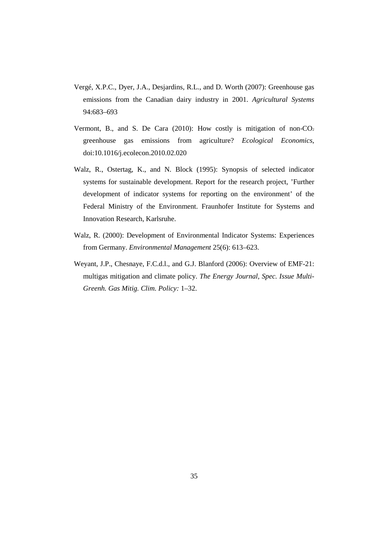- Vergé, X.P.C., Dyer, J.A., Desjardins, R.L., and D. Worth (2007): Greenhouse gas emissions from the Canadian dairy industry in 2001. *Agricultural Systems* 94:683–693
- Vermont, B., and S. De Cara  $(2010)$ : How costly is mitigation of non-CO<sub>2</sub> greenhouse gas emissions from agriculture? *Ecological Economics*, doi:10.1016/j.ecolecon.2010.02.020
- Walz, R., Ostertag, K., and N. Block (1995): Synopsis of selected indicator systems for sustainable development. Report for the research project, 'Further development of indicator systems for reporting on the environment' of the Federal Ministry of the Environment. Fraunhofer Institute for Systems and Innovation Research, Karlsruhe.
- Walz, R. (2000): Development of Environmental Indicator Systems: Experiences from Germany. *Environmental Management* 25(6): 613–623.
- Weyant, J.P., Chesnaye, F.C.d.l., and G.J. Blanford (2006): Overview of EMF-21: multigas mitigation and climate policy. *The Energy Journal, Spec. Issue Multi-Greenh. Gas Mitig. Clim. Policy:* 1–32.